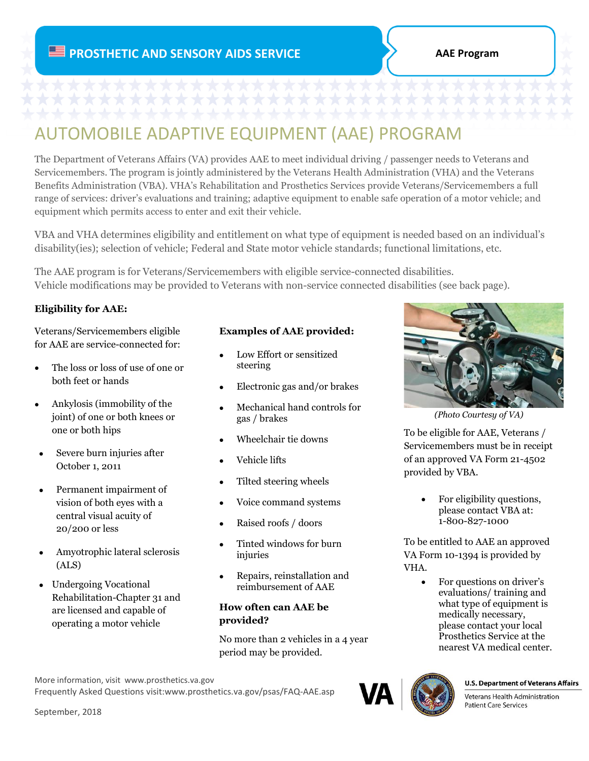# AUTOMOBILE ADAPTIVE EQUIPMENT (AAE) PROGRAM

The Department of Veterans Affairs (VA) provides AAE to meet individual driving / passenger needs to Veterans and Servicemembers. The program is jointly administered by the Veterans Health Administration (VHA) and the Veterans Benefits Administration (VBA). VHA's Rehabilitation and Prosthetics Services provide Veterans/Servicemembers a full range of services: driver's evaluations and training; adaptive equipment to enable safe operation of a motor vehicle; and equipment which permits access to enter and exit their vehicle.

VBA and VHA determines eligibility and entitlement on what type of equipment is needed based on an individual's disability(ies); selection of vehicle; Federal and State motor vehicle standards; functional limitations, etc.

The AAE program is for Veterans/Servicemembers with eligible service-connected disabilities. Vehicle modifications may be provided to Veterans with non-service connected disabilities (see back page).

# **Eligibility for AAE:**

Veterans/Servicemembers eligible for AAE are service-connected for:

- The loss or loss of use of one or both feet or hands
- Ankylosis (immobility of the joint) of one or both knees or one or both hips
- Severe burn injuries after October 1, 2011
- Permanent impairment of vision of both eyes with a central visual acuity of 20/200 or less
- Amyotrophic lateral sclerosis (ALS)
- Undergoing Vocational Rehabilitation-Chapter 31 and are licensed and capable of operating a motor vehicle

#### **Examples of AAE provided:**

- Low Effort or sensitized steering
- Electronic gas and/or brakes
- Mechanical hand controls for gas / brakes
- Wheelchair tie downs
- Vehicle lifts
- Tilted steering wheels
- Voice command systems
- Raised roofs / doors
- Tinted windows for burn injuries
- Repairs, reinstallation and reimbursement of AAE

### **How often can AAE be provided?**

No more than 2 vehicles in a 4 year period may be provided.



Frequently Asked Questions visit:www.prosthetics.va.gov/psas/FAQ-AAE.asp



*(Photo Courtesy of VA)*

To be eligible for AAE, Veterans / Servicemembers must be in receipt of an approved VA Form 21-4502 provided by VBA.

> • For eligibility questions, please contact VBA at: 1-800-827-1000

To be entitled to AAE an approved VA Form 10-1394 is provided by VHA.

> • For questions on driver's evaluations/ training and what type of equipment is medically necessary, please contact your local Prosthetics Service at the nearest VA medical center.



#### **U.S. Department of Veterans Affairs**

Veterans Health Administration **Patient Care Services**